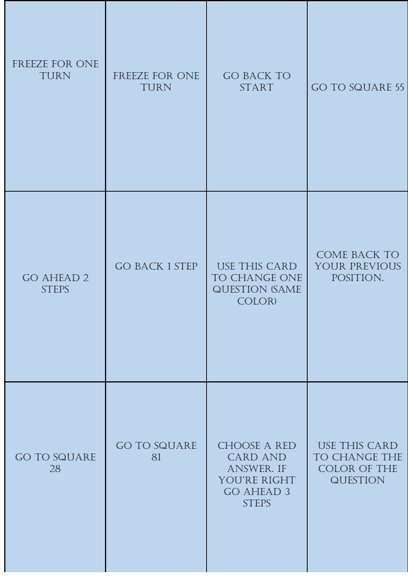| FREEZE FOR ONE<br>TURN            | FREEZE FOR ONE<br>TURN    | <b>GO BACK TO</b><br><b>START</b>                                                                         | <b>GO TO SQUARE 55</b>                                                   |
|-----------------------------------|---------------------------|-----------------------------------------------------------------------------------------------------------|--------------------------------------------------------------------------|
| <b>GO AHEAD 2</b><br><b>STEPS</b> | <b>GO BACK 1 STEP</b>     | <b>USE THIS CARD</b><br>TO CHANGE ONE<br><b>QUESTION (SAME</b><br>COLOR)                                  | COME BACK TO<br>YOUR PREVIOUS<br>POSITION.                               |
| <b>GO TO SQUARE</b><br>28         | <b>GO TO SQUARE</b><br>81 | <b>CHOOSE A RED</b><br><b>CARD AND</b><br>ANSWER. IF<br>YOU'RE RIGHT<br><b>GO AHEAD 3</b><br><b>STEPS</b> | <b>USE THIS CARD</b><br>TO CHANGE THE<br><b>COLOR OF THE</b><br>QUESTION |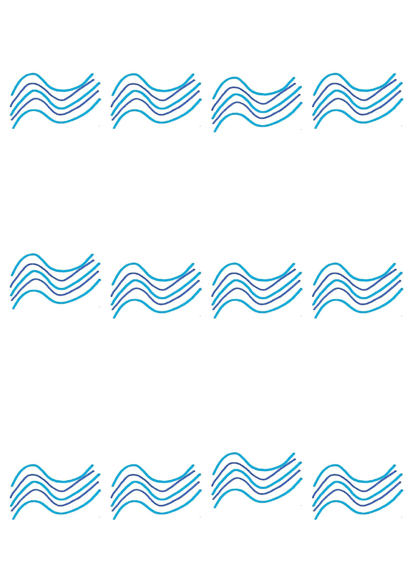



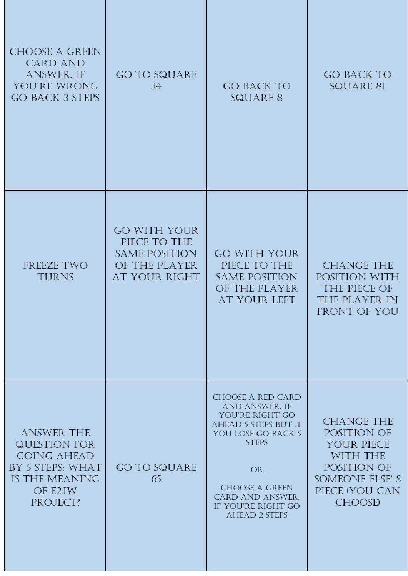| <b>CHOOSE A GREEN</b><br><b>CARD AND</b><br>ANSWER. IF<br>YOU'RE WRONG<br><b>GO BACK 3 STEPS</b>                                   | <b>GO TO SQUARE</b><br>34                                                                     | <b>GO BACK TO</b><br><b>SQUARE 8</b>                                                                                                                                                                                                       | <b>GO BACK TO</b><br><b>SQUARE 81</b>                                                                                          |
|------------------------------------------------------------------------------------------------------------------------------------|-----------------------------------------------------------------------------------------------|--------------------------------------------------------------------------------------------------------------------------------------------------------------------------------------------------------------------------------------------|--------------------------------------------------------------------------------------------------------------------------------|
| <b>FREEZE TWO</b><br>TURNS                                                                                                         | <b>GO WITH YOUR</b><br>PIECE TO THE<br><b>SAME POSITION</b><br>OF THE PLAYER<br>AT YOUR RIGHT | <b>GO WITH YOUR</b><br>PIECE TO THE<br><b>SAME POSITION</b><br>OF THE PLAYER<br>AT YOUR LEFT                                                                                                                                               | <b>CHANGE THE</b><br>POSITION WITH<br>THE PIECE OF<br>THE PLAYER IN<br>FRONT OF YOU                                            |
| <b>ANSWER THE</b><br><b>QUESTION FOR</b><br><b>GOING AHEAD</b><br>BY 5 STEPS: WHAT<br><b>IS THE MEANING</b><br>OF E2JW<br>PROJECT? | <b>GO TO SQUARE</b><br>65                                                                     | <b>CHOOSE A RED CARD</b><br>AND ANSWER. IF<br>YOU'RE RIGHT GO<br><b>AHEAD 5 STEPS BUT IF</b><br>YOU LOSE GO BACK 5<br><b>STEPS</b><br><b>OR</b><br><b>CHOOSE A GREEN</b><br>CARD AND ANSWER.<br>IF YOU'RE RIGHT GO<br><b>AHEAD 2 STEPS</b> | <b>CHANGE THE</b><br>POSITION OF<br>YOUR PIECE<br>WITH THE<br>POSITION OF<br>SOMEONE ELSE'S<br>PIECE (YOU CAN<br><b>CHOOSE</b> |